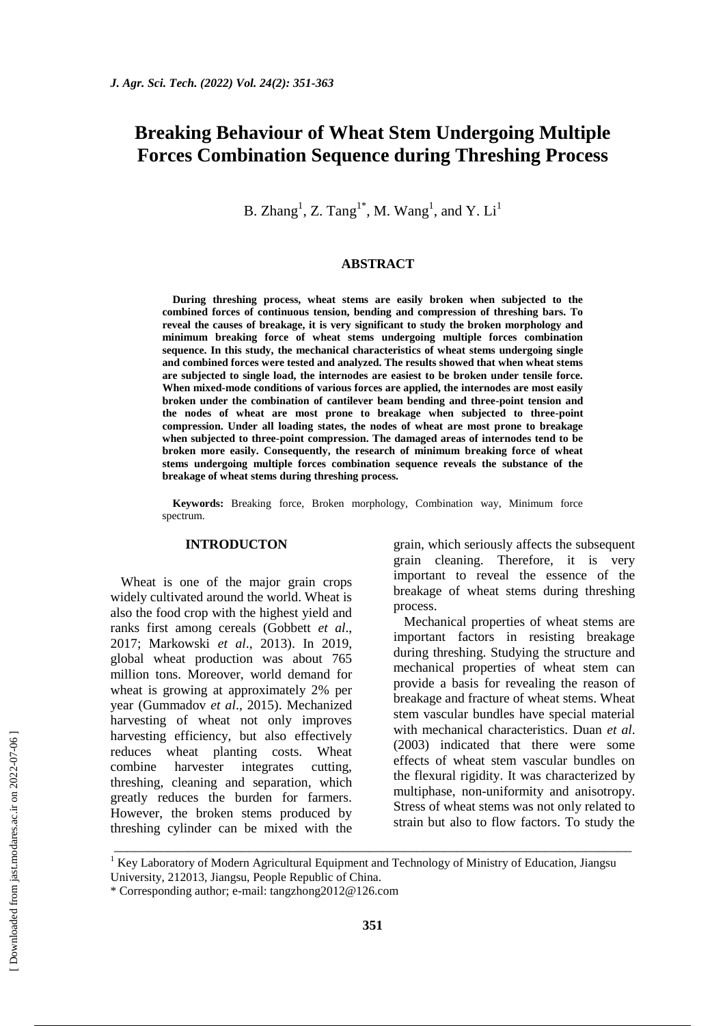# **Breaking Behaviour of Wheat Stem Undergoing Multiple Forces Combination Sequence during Threshing Process**

B. Zhang<sup>1</sup>, Z. Tang<sup>1\*</sup>, M. Wang<sup>1</sup>, and Y. Li<sup>1</sup>

#### **ABSTRACT**

**During threshing process, wheat stems are easily broken when subjected to the combined forces of continuous tension, bending and compression of threshing bars. To reveal the causes of breakage, it is very significant to study the broken morphology and minimum breaking force of wheat stems undergoing multiple forces combination sequence. In this study, the mechanical characteristics of wheat stems undergoing single and combined forces were tested and analyzed. The results showed that when wheat stems are subjected to single load, the internodes are easiest to be broken under tensile force. When mixed-mode conditions of various forces are applied, the internodes are most easily broken under the combination of cantilever beam bending and three-point tension and the nodes of wheat are most prone to breakage when subjected to three-point compression. Under all loading states, the nodes of wheat are most prone to breakage when subjected to three-point compression. The damaged areas of internodes tend to be broken more easily. Consequently, the research of minimum breaking force of wheat stems undergoing multiple forces combination sequence reveals the substance of the breakage of wheat stems during threshing process.**

**Keywords:** Breaking force, Broken morphology, Combination way, Minimum force spectrum.

### **INTRODUCTON**

Wheat is one of the major grain crops widely cultivated around the world. Wheat is also the food crop with the highest yield and ranks first among cereals (Gobbett *et al*., 2017; Markowski *et al*., 2013). In 2019, global wheat production was about 765 million tons. Moreover, world demand for wheat is growing at approximately 2% per year (Gummadov *et al*., 2015). Mechanized harvesting of wheat not only improves harvesting efficiency, but also effectively reduces wheat planting costs. Wheat combine harvester integrates cutting, threshing, cleaning and separation, which greatly reduces the burden for farmers. However, the broken stems produced by threshing cylinder can be mixed with the grain, which seriously affects the subsequent grain cleaning. Therefore, it is very important to reveal the essence of the breakage of wheat stems during threshing process.

Mechanical properties of wheat stems are important factors in resisting breakage during threshing. Studying the structure and mechanical properties of wheat stem can provide a basis for revealing the reason of breakage and fracture of wheat stems. Wheat stem vascular bundles have special material with mechanical characteristics. Duan *et al*. (2003) indicated that there were some effects of wheat stem vascular bundles on the flexural rigidity. It was characterized by multiphase, non-uniformity and anisotropy. Stress of wheat stems was not only related to strain but also to flow factors. To study the

<sup>1</sup> Key Laboratory of Modern Agricultural Equipment and Technology of Ministry of Education, Jiangsu

\_\_\_\_\_\_\_\_\_\_\_\_\_\_\_\_\_\_\_\_\_\_\_\_\_\_\_\_\_\_\_\_\_\_\_\_\_\_\_\_\_\_\_\_\_\_\_\_\_\_\_\_\_\_\_\_\_\_\_\_\_\_\_\_\_\_\_\_\_\_\_\_\_\_\_\_\_

University, 212013, Jiangsu, People Republic of China.

<sup>\*</sup> Corresponding author; e-mail: [tangzhong2012@126.com](https://jast.modares.ac.ir/admin_emailer.php?mod=send_form&sid=23&slc_lang=en&em=tangzhong2012-ATSIGN-126.com&a_ordnum=45262)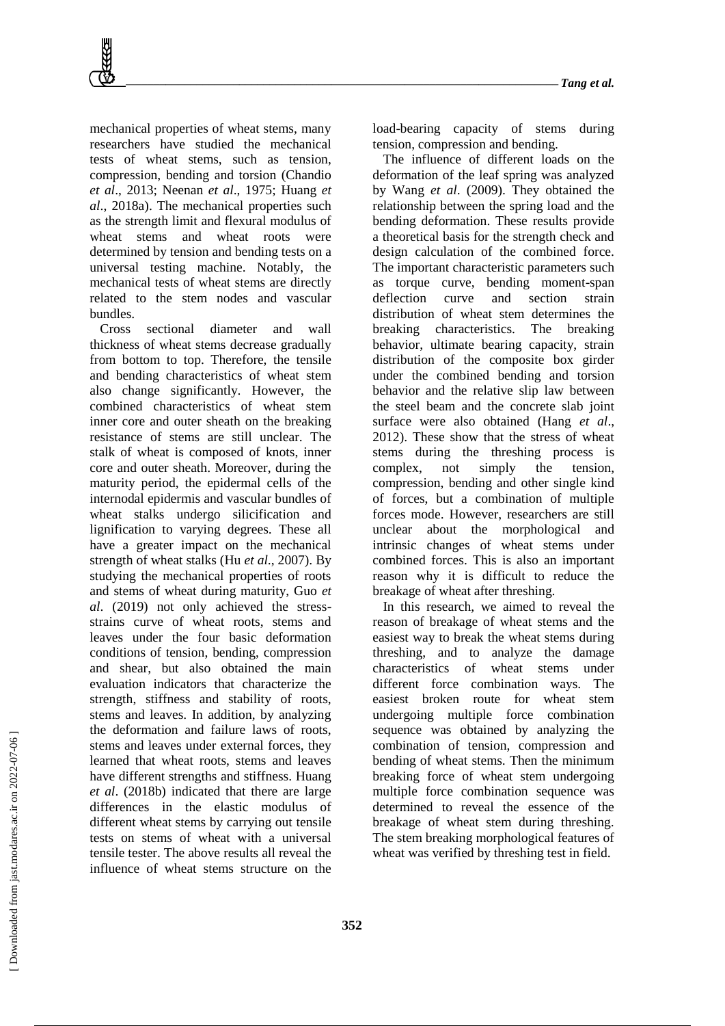mechanical properties of wheat stems, many researchers have studied the mechanical tests of wheat stems, such as tension, compression, bending and torsion (Chandio *et al*., 2013; Neenan *et al*., 1975; Huang *et al*., 2018a). The mechanical properties such as the strength limit and flexural modulus of wheat stems and wheat roots were determined by tension and bending tests on a universal testing machine. Notably, the mechanical tests of wheat stems are directly related to the stem nodes and vascular bundles.

Cross sectional diameter and wall thickness of wheat stems decrease gradually from bottom to top. Therefore, the tensile and bending characteristics of wheat stem also change significantly. However, the combined characteristics of wheat stem inner core and outer sheath on the breaking resistance of stems are still unclear. The stalk of wheat is composed of knots, inner core and outer sheath. Moreover, during the maturity period, the epidermal cells of the internodal epidermis and vascular bundles of wheat stalks undergo silicification and lignification to varying degrees. These all have a greater impact on the mechanical strength of wheat stalks (Hu *et al*., 2007). By studying the mechanical properties of roots and stems of wheat during maturity, Guo *et al*. (2019) not only achieved the stressstrains curve of wheat roots, stems and leaves under the four basic deformation conditions of tension, bending, compression and shear, but also obtained the main evaluation indicators that characterize the strength, stiffness and stability of roots, stems and leaves. In addition, by analyzing the deformation and failure laws of roots, stems and leaves under external forces, they learned that wheat roots, stems and leaves have different strengths and stiffness. Huang *et al*. (2018b) indicated that there are large differences in the elastic modulus of different wheat stems by carrying out tensile tests on stems of wheat with a universal tensile tester. The above results all reveal the influence of wheat stems structure on the

load-bearing capacity of stems during tension, compression and bending.

The influence of different loads on the deformation of the leaf spring was analyzed by Wang *et al*. (2009). They obtained the relationship between the spring load and the bending deformation. These results provide a theoretical basis for the strength check and design calculation of the combined force. The important characteristic parameters such as torque curve, bending moment-span deflection curve and section strain distribution of wheat stem determines the breaking characteristics. The breaking behavior, ultimate bearing capacity, strain distribution of the composite box girder under the combined bending and torsion behavior and the relative slip law between the steel beam and the concrete slab joint surface were also obtained (Hang *et al*., 2012). These show that the stress of wheat stems during the threshing process is complex, not simply the tension, compression, bending and other single kind of forces, but a combination of multiple forces mode. However, researchers are still unclear about the morphological and intrinsic changes of wheat stems under combined forces. This is also an important reason why it is difficult to reduce the breakage of wheat after threshing.

In this research, we aimed to reveal the reason of breakage of wheat stems and the easiest way to break the wheat stems during threshing, and to analyze the damage characteristics of wheat stems under different force combination ways. The easiest broken route for wheat stem undergoing multiple force combination sequence was obtained by analyzing the combination of tension, compression and bending of wheat stems. Then the minimum breaking force of wheat stem undergoing multiple force combination sequence was determined to reveal the essence of the breakage of wheat stem during threshing. The stem breaking morphological features of wheat was verified by threshing test in field.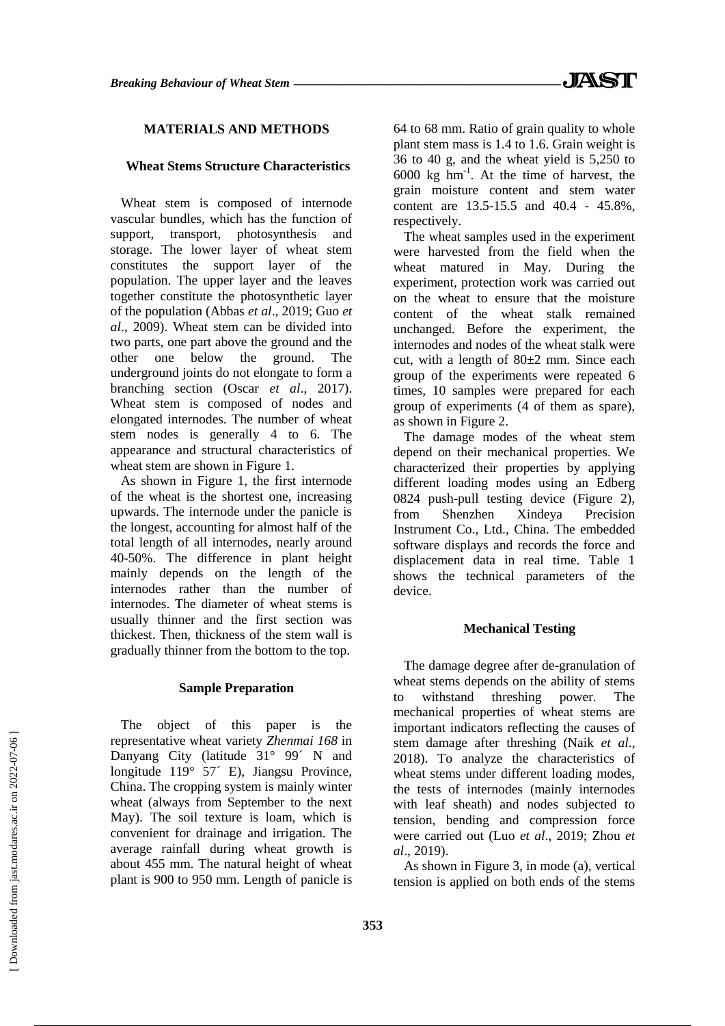# **MATERIALS AND METHODS**

#### **Wheat Stems Structure Characteristics**

Wheat stem is composed of internode vascular bundles, which has the function of support, transport, photosynthesis and storage. The lower layer of wheat stem constitutes the support layer of the population. The upper layer and the leaves together constitute the photosynthetic layer of the population (Abbas *et al*., 2019; Guo *et al*., 2009). Wheat stem can be divided into two parts, one part above the ground and the other one below the ground. The underground joints do not elongate to form a branching section (Oscar *et al*., 2017). Wheat stem is composed of nodes and elongated internodes. The number of wheat stem nodes is generally 4 to 6. The appearance and structural characteristics of wheat stem are shown in Figure 1.

As shown in Figure 1, the first internode of the wheat is the shortest one, increasing upwards. The internode under the panicle is the longest, accounting for almost half of the total length of all internodes, nearly around 40-50%. The difference in plant height mainly depends on the length of the internodes rather than the number of internodes. The diameter of wheat stems is usually thinner and the first section was thickest. Then, thickness of the stem wall is gradually thinner from the bottom to the top.

#### **Sample Preparation**

The object of this paper is the representative wheat variety *Zhenmai 168* in Danyang City (latitude 31° 99<sup> $\prime$ </sup> N and longitude 119° 57´ E), Jiangsu Province, China. The cropping system is mainly winter wheat (always from September to the next May). The soil texture is loam, which is convenient for drainage and irrigation. The average rainfall during wheat growth is about 455 mm. The natural height of wheat plant is 900 to 950 mm. Length of panicle is 64 to 68 mm. Ratio of grain quality to whole plant stem mass is 1.4 to 1.6. Grain weight is 36 to 40 g, and the wheat yield is 5,250 to 6000 kg hm-1 . At the time of harvest, the grain moisture content and stem water content are 13.5-15.5 and 40.4 - 45.8%, respectively.

The wheat samples used in the experiment were harvested from the field when the wheat matured in May. During the experiment, protection work was carried out on the wheat to ensure that the moisture content of the wheat stalk remained unchanged. Before the experiment, the internodes and nodes of the wheat stalk were cut, with a length of 80±2 mm. Since each group of the experiments were repeated 6 times, 10 samples were prepared for each group of experiments (4 of them as spare), as shown in Figure 2.

The damage modes of the wheat stem depend on their mechanical properties. We characterized their properties by applying different loading modes using an Edberg 0824 push-pull testing device (Figure 2), from Shenzhen Xindeya Precision Instrument Co., Ltd., China. The embedded software displays and records the force and displacement data in real time. Table 1 shows the technical parameters of the device.

#### **Mechanical Testing**

The damage degree after de-granulation of wheat stems depends on the ability of stems to withstand threshing power. The mechanical properties of wheat stems are important indicators reflecting the causes of stem damage after threshing (Naik *et al*., 2018). To analyze the characteristics of wheat stems under different loading modes, the tests of internodes (mainly internodes with leaf sheath) and nodes subjected to tension, bending and compression force were carried out (Luo *et al*., 2019; Zhou *et al*., 2019).

As shown in Figure 3, in mode (a), vertical tension is applied on both ends of the stems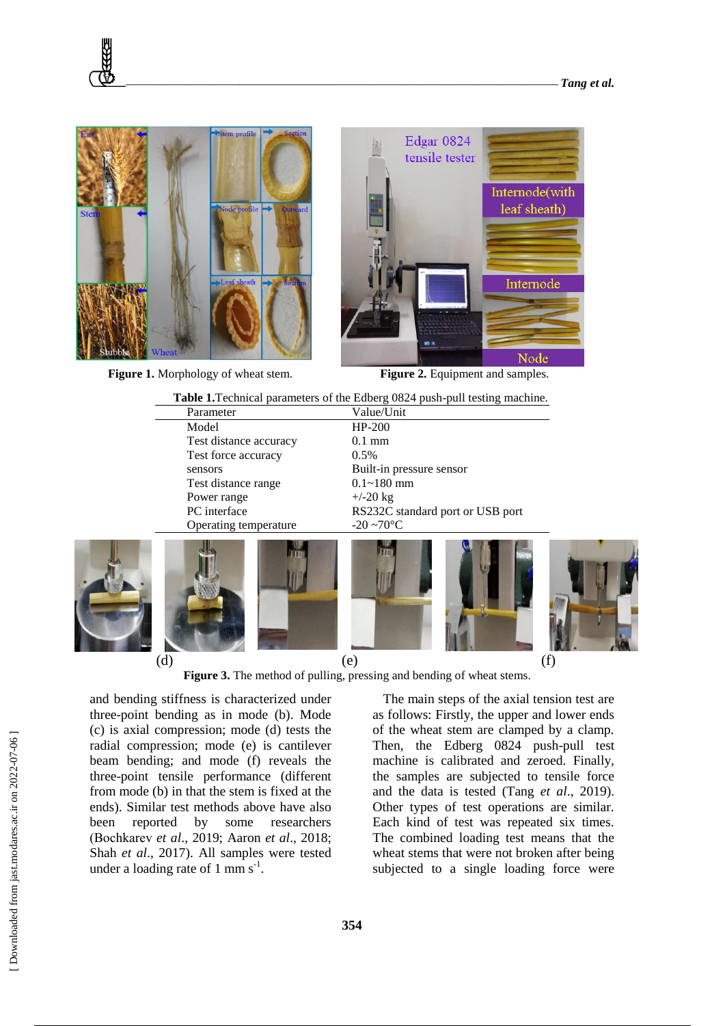

**Figure 1.** Morphology of wheat stem. **Figure 2.** Equipment and samples.



|                        | <b>Table 1.</b> Technical parameters of the Edberg 0824 push-pull testing machine. |  |
|------------------------|------------------------------------------------------------------------------------|--|
| Parameter              | Value/Unit                                                                         |  |
| Model                  | $HP-200$                                                                           |  |
| Test distance accuracy | $0.1$ mm                                                                           |  |
| Test force accuracy    | $0.5\%$                                                                            |  |
| sensors                | Built-in pressure sensor                                                           |  |
| Test distance range    | $0.1 - 180$ mm                                                                     |  |
| Power range            | $+/-20$ kg                                                                         |  |
| PC interface           | RS232C standard port or USB port                                                   |  |
| Operating temperature  | $-20 \sim 70$ °C                                                                   |  |
|                        |                                                                                    |  |

**Table 1.**Technical parameters of the Edberg 0824 push-pull testing machine.

(d)  $(e)$  (f)

**Figure 3.** The method of pulling, pressing and bending of wheat stems.

and bending stiffness is characterized under three-point bending as in mode (b). Mode (c) is axial compression; mode (d) tests the radial compression; mode (e) is cantilever beam bending; and mode (f) reveals the three-point tensile performance (different from mode (b) in that the stem is fixed at the ends). Similar test methods above have also been reported by some researchers (Bоchkarev *et al*., 2019; Aaron *et al*., 2018; Shah *et al*., 2017). All samples were tested under a loading rate of  $1 \text{ mm s}^{-1}$ .

The main steps of the axial tension test are as follows: Firstly, the upper and lower ends of the wheat stem are clamped by a clamp. Then, the Edberg 0824 push-pull test machine is calibrated and zeroed. Finally, the samples are subjected to tensile force and the data is tested (Tang *et al*., 2019). Other types of test operations are similar. Each kind of test was repeated six times. The combined loading test means that the wheat stems that were not broken after being subjected to a single loading force were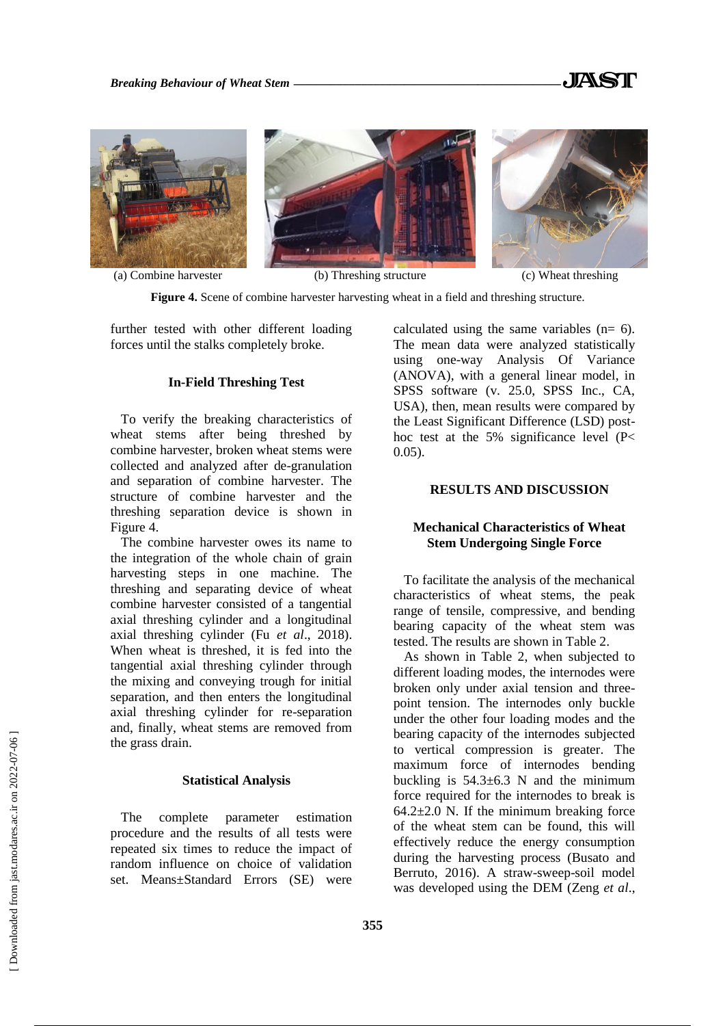





(a) Combine harvester (b) Threshing structure (c) Wheat threshing

**Figure 4.** Scene of combine harvester harvesting wheat in a field and threshing structure.

further tested with other different loading forces until the stalks completely broke.

# **In-Field Threshing Test**

To verify the breaking characteristics of wheat stems after being threshed by combine harvester, broken wheat stems were collected and analyzed after de-granulation and separation of combine harvester. The structure of combine harvester and the threshing separation device is shown in Figure 4.

The combine harvester owes its name to the integration of the whole chain of grain harvesting steps in one machine. The threshing and separating device of wheat combine harvester consisted of a tangential axial threshing cylinder and a longitudinal axial threshing cylinder (Fu *et al*., 2018). When wheat is threshed, it is fed into the tangential axial threshing cylinder through the mixing and conveying trough for initial separation, and then enters the longitudinal axial threshing cylinder for re-separation and, finally, wheat stems are removed from the grass drain.

## **Statistical Analysis**

The complete parameter estimation procedure and the results of all tests were repeated six times to reduce the impact of random influence on choice of validation set. Means±Standard Errors (SE) were calculated using the same variables  $(n= 6)$ . The mean data were analyzed statistically using one-way Analysis Of Variance (ANOVA), with a general linear model, in SPSS software (v. 25.0, SPSS Inc., CA, USA), then, mean results were compared by the Least Significant Difference (LSD) posthoc test at the 5% significance level (P< 0.05).

# **RESULTS AND DISCUSSION**

# **Mechanical Characteristics of Wheat Stem Undergoing Single Force**

To facilitate the analysis of the mechanical characteristics of wheat stems, the peak range of tensile, compressive, and bending bearing capacity of the wheat stem was tested. The results are shown in Table 2.

As shown in Table 2, when subjected to different loading modes, the internodes were broken only under axial tension and threepoint tension. The internodes only buckle under the other four loading modes and the bearing capacity of the internodes subjected to vertical compression is greater. The maximum force of internodes bending buckling is  $54.3\pm6.3$  N and the minimum force required for the internodes to break is  $64.2\pm2.0$  N. If the minimum breaking force of the wheat stem can be found, this will effectively reduce the energy consumption during the harvesting process (Busato and Berruto, 2016). A straw-sweep-soil model was developed using the DEM (Zeng *et al*.,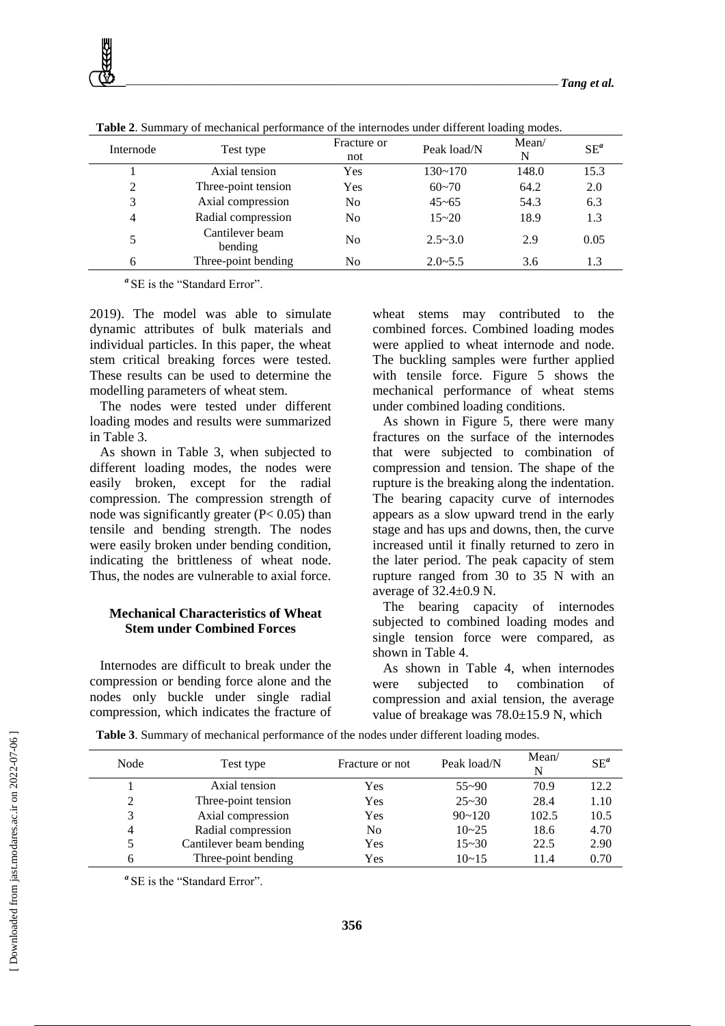| Internode | Test type                  | Fracture or<br>not | Peak load/N | Mean/<br>N | $SE^a$ |
|-----------|----------------------------|--------------------|-------------|------------|--------|
|           | Axial tension              | Yes                | $130 - 170$ | 148.0      | 15.3   |
|           | Three-point tension        | Yes                | $60 - 70$   | 64.2       | 2.0    |
| 3         | Axial compression          | No                 | $45 - 65$   | 54.3       | 6.3    |
| 4         | Radial compression         | N <sub>0</sub>     | $15 - 20$   | 18.9       | 1.3    |
|           | Cantilever beam<br>bending | N <sub>0</sub>     | $2.5 - 3.0$ | 2.9        | 0.05   |
| 6         | Three-point bending        | No                 | $2.0 - 5.5$ | 3.6        | 1.3    |

**Table 2**. Summary of mechanical performance of the internodes under different loading modes.

<sup>*a*</sup>SE is the "Standard Error".

2019). The model was able to simulate dynamic attributes of bulk materials and individual particles. In this paper, the wheat stem critical breaking forces were tested. These results can be used to determine the modelling parameters of wheat stem.

The nodes were tested under different loading modes and results were summarized in Table 3.

As shown in Table 3, when subjected to different loading modes, the nodes were easily broken, except for the radial compression. The compression strength of node was significantly greater (P< 0.05) than tensile and bending strength. The nodes were easily broken under bending condition, indicating the brittleness of wheat node. Thus, the nodes are vulnerable to axial force.

# **Mechanical Characteristics of Wheat Stem under Combined Forces**

Internodes are difficult to break under the compression or bending force alone and the nodes only buckle under single radial compression, which indicates the fracture of

wheat stems may contributed to the combined forces. Combined loading modes were applied to wheat internode and node. The buckling samples were further applied with tensile force. Figure 5 shows the mechanical performance of wheat stems under combined loading conditions.

As shown in Figure 5, there were many fractures on the surface of the internodes that were subjected to combination of compression and tension. The shape of the rupture is the breaking along the indentation. The bearing capacity curve of internodes appears as a slow upward trend in the early stage and has ups and downs, then, the curve increased until it finally returned to zero in the later period. The peak capacity of stem rupture ranged from 30 to 35 N with an average of 32.4±0.9 N.

The bearing capacity of internodes subjected to combined loading modes and single tension force were compared, as shown in Table 4.

As shown in Table 4, when internodes were subjected to combination of compression and axial tension, the average value of breakage was 78.0±15.9 N, which

| Node           | Test type               | Fracture or not | Peak load/N | Mean/<br>N | $SE^a$ |
|----------------|-------------------------|-----------------|-------------|------------|--------|
|                | Axial tension           | Yes             | $55 - 90$   | 70.9       | 12.2   |
| 2              | Three-point tension     | Yes             | $25 - 30$   | 28.4       | 1.10   |
| 3              | Axial compression       | Yes             | $90 - 120$  | 102.5      | 10.5   |
| $\overline{4}$ | Radial compression      | N <sub>0</sub>  | $10 - 25$   | 18.6       | 4.70   |
| 5              | Cantilever beam bending | Yes             | $15 - 30$   | 22.5       | 2.90   |
| 6              | Three-point bending     | Yes             | $10 - 15$   | 11.4       | 0.70   |

**Table 3**. Summary of mechanical performance of the nodes under different loading modes.

<sup>*a*</sup>SE is the "Standard Error".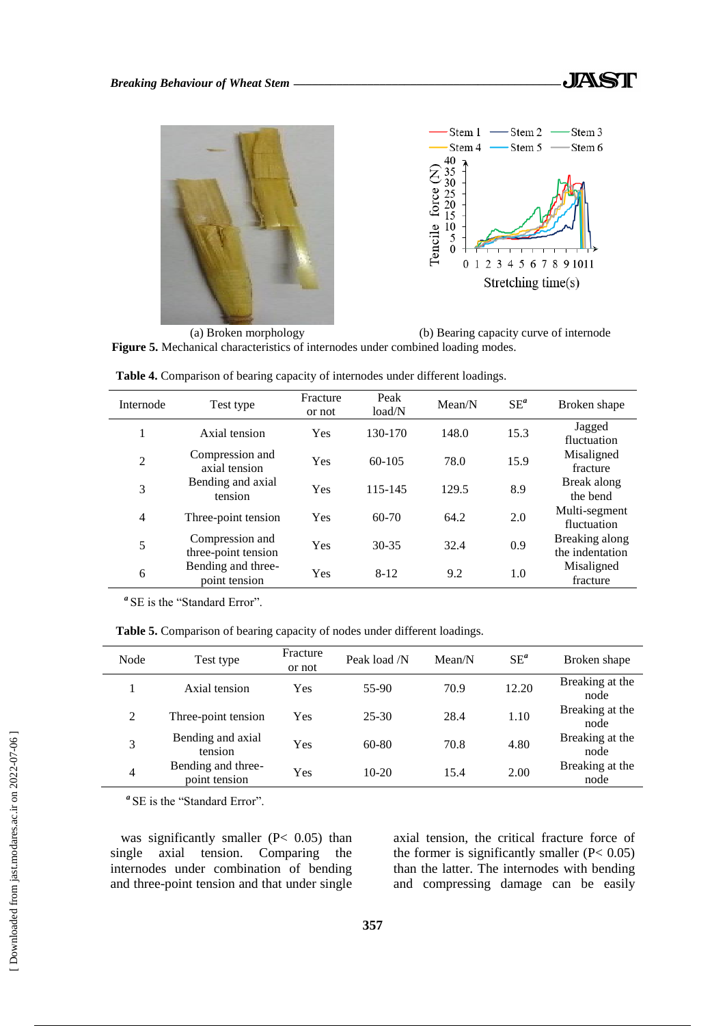



(a) Broken morphology (b) Bearing capacity curve of internode **Figure 5.** Mechanical characteristics of internodes under combined loading modes.

| Internode      | Test type                              | Fracture<br>or not | Peak<br>load/N | Mean/N | $SE^a$ | Broken shape                      |
|----------------|----------------------------------------|--------------------|----------------|--------|--------|-----------------------------------|
| 1              | Axial tension                          | Yes                | 130-170        | 148.0  | 15.3   | Jagged<br>fluctuation             |
| $\overline{c}$ | Compression and<br>axial tension       | Yes                | 60-105         | 78.0   | 15.9   | Misaligned<br>fracture            |
| 3              | Bending and axial<br>tension           | Yes                | 115-145        | 129.5  | 8.9    | Break along<br>the bend           |
| 4              | Three-point tension                    | Yes                | $60-70$        | 64.2   | 2.0    | Multi-segment<br>fluctuation      |
| 5              | Compression and<br>three-point tension | Yes                | $30 - 35$      | 32.4   | 0.9    | Breaking along<br>the indentation |
| 6              | Bending and three-<br>point tension    | Yes                | $8 - 12$       | 9.2    | 1.0    | Misaligned<br>fracture            |

**Table 4.** Comparison of bearing capacity of internodes under different loadings.

<sup>*a*</sup>SE is the "Standard Error".

**Table 5.** Comparison of bearing capacity of nodes under different loadings.

| Node | Test type                           | Fracture<br>or not | Peak load /N | Mean/N | $SE^a$ | Broken shape            |
|------|-------------------------------------|--------------------|--------------|--------|--------|-------------------------|
|      | Axial tension                       | Yes                | $55-90$      | 70.9   | 12.20  | Breaking at the<br>node |
| 2    | Three-point tension                 | Yes                | $25 - 30$    | 28.4   | 1.10   | Breaking at the<br>node |
| 3    | Bending and axial<br>tension        | Yes                | 60-80        | 70.8   | 4.80   | Breaking at the<br>node |
| 4    | Bending and three-<br>point tension | Yes                | $10-20$      | 15.4   | 2.00   | Breaking at the<br>node |

<sup>*a*</sup>SE is the "Standard Error".

was significantly smaller  $(P< 0.05)$  than single axial tension. Comparing the internodes under combination of bending and three-point tension and that under single axial tension, the critical fracture force of the former is significantly smaller  $(P< 0.05)$ than the latter. The internodes with bending and compressing damage can be easily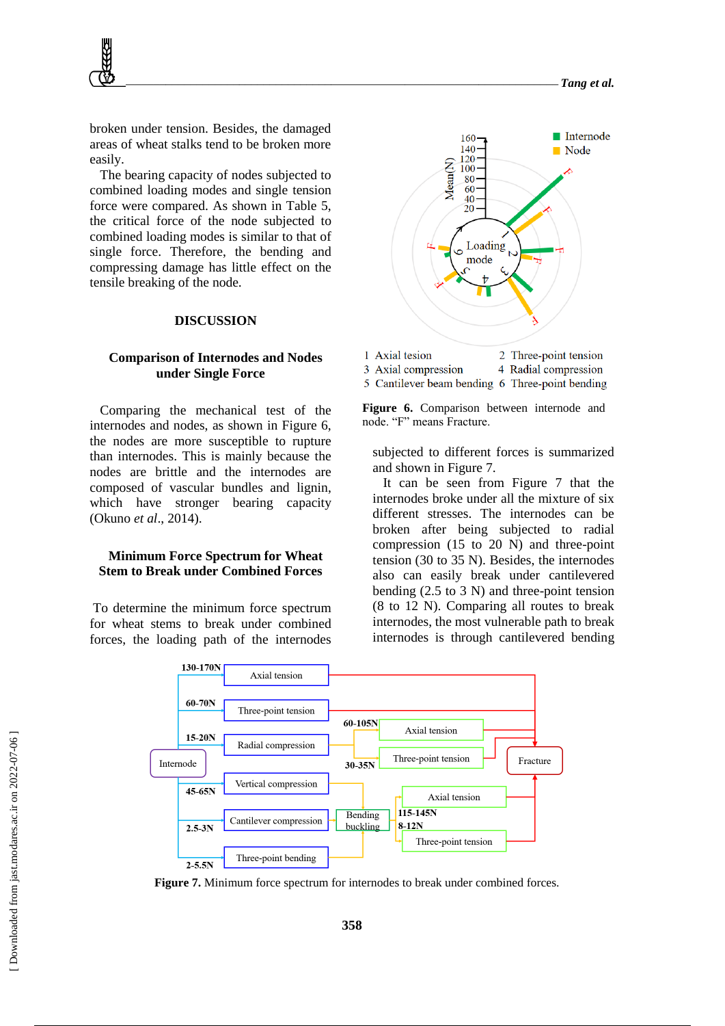broken under tension. Besides, the damaged areas of wheat stalks tend to be broken more easily.

The bearing capacity of nodes subjected to combined loading modes and single tension force were compared. As shown in Table 5, the critical force of the node subjected to combined loading modes is similar to that of single force. Therefore, the bending and compressing damage has little effect on the tensile breaking of the node.

#### **DISCUSSION**

## **Comparison of Internodes and Nodes under Single Force**

Comparing the mechanical test of the internodes and nodes, as shown in Figure 6, the nodes are more susceptible to rupture than internodes. This is mainly because the nodes are brittle and the internodes are composed of vascular bundles and lignin, which have stronger bearing capacity (Okuno *et al*., 2014).

### **Minimum Force Spectrum for Wheat Stem to Break under Combined Forces**

To determine the minimum force spectrum for wheat stems to break under combined forces, the loading path of the internodes





5 Cantilever beam bending 6 Three-point bending

**Figure 6.** Comparison between internode and node. "F" means Fracture.

subjected to different forces is summarized and shown in Figure 7.

It can be seen from Figure 7 that the internodes broke under all the mixture of six different stresses. The internodes can be broken after being subjected to radial compression (15 to 20 N) and three-point tension (30 to 35 N). Besides, the internodes also can easily break under cantilevered bending (2.5 to 3 N) and three-point tension (8 to 12 N). Comparing all routes to break internodes, the most vulnerable path to break internodes is through cantilevered bending



**Figure 7.** Minimum force spectrum for internodes to break under combined forces.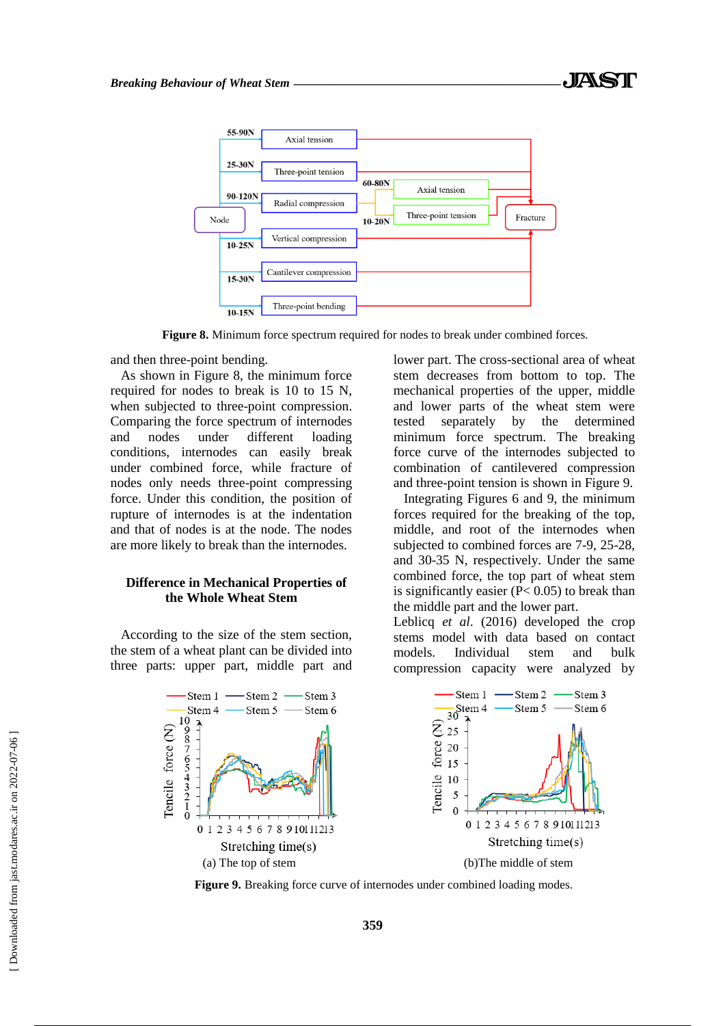

**Figure 8.** Minimum force spectrum required for nodes to break under combined forces.

and then three-point bending.

As shown in Figure 8, the minimum force required for nodes to break is 10 to 15 N, when subjected to three-point compression. Comparing the force spectrum of internodes and nodes under different loading conditions, internodes can easily break under combined force, while fracture of nodes only needs three-point compressing force. Under this condition, the position of rupture of internodes is at the indentation and that of nodes is at the node. The nodes are more likely to break than the internodes.

# **Difference in Mechanical Properties of the Whole Wheat Stem**

According to the size of the stem section, the stem of a wheat plant can be divided into three parts: upper part, middle part and lower part. The cross-sectional area of wheat stem decreases from bottom to top. The mechanical properties of the upper, middle and lower parts of the wheat stem were tested separately by the determined minimum force spectrum. The breaking force curve of the internodes subjected to combination of cantilevered compression and three-point tension is shown in Figure 9.

Integrating Figures 6 and 9, the minimum forces required for the breaking of the top, middle, and root of the internodes when subjected to combined forces are 7-9, 25-28, and 30-35 N, respectively. Under the same combined force, the top part of wheat stem is significantly easier  $(P< 0.05)$  to break than the middle part and the lower part.

Leblicq *et al*. (2016) developed the crop stems model with data based on contact models. Individual stem and bulk compression capacity were analyzed by



Figure 9. Breaking force curve of internodes under combined loading modes.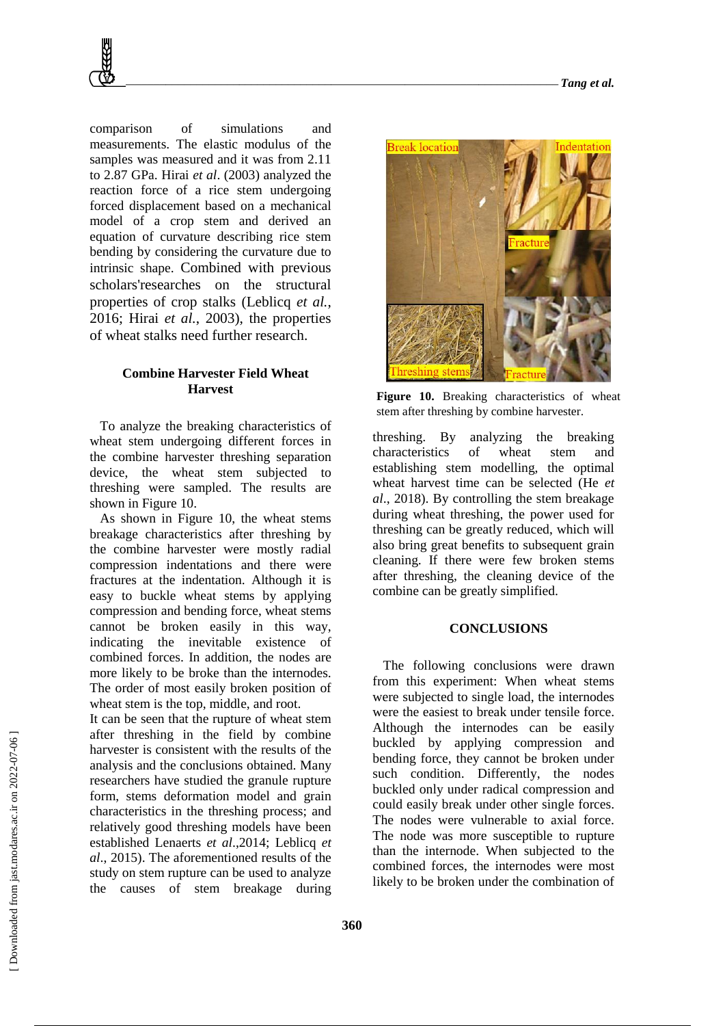comparison of simulations and measurements. The elastic modulus of the samples was measured and it was from 2.11 to 2.87 GPa. Hirai *et al*. (2003) analyzed the reaction force of a rice stem undergoing forced displacement based on a mechanical model of a crop stem and derived an equation of curvature describing rice stem bending by considering the curvature due to intrinsic shape. Combined with previous scholars'researches on the structural properties of crop stalks (Leblicq *et al.*, 2016; Hirai *et al.*, 2003), the properties of wheat stalks need further research.

# **Combine Harvester Field Wheat Harvest**

To analyze the breaking characteristics of wheat stem undergoing different forces in the combine harvester threshing separation device, the wheat stem subjected to threshing were sampled. The results are shown in Figure 10.

As shown in Figure 10, the wheat stems breakage characteristics after threshing by the combine harvester were mostly radial compression indentations and there were fractures at the indentation. Although it is easy to buckle wheat stems by applying compression and bending force, wheat stems cannot be broken easily in this way, indicating the inevitable existence of combined forces. In addition, the nodes are more likely to be broke than the internodes. The order of most easily broken position of wheat stem is the top, middle, and root.

It can be seen that the rupture of wheat stem after threshing in the field by combine harvester is consistent with the results of the analysis and the conclusions obtained. Many researchers have studied the granule rupture form, stems deformation model and grain characteristics in the threshing process; and relatively good threshing models have been established Lenaerts *et al*.,2014; Leblicq *et al*., 2015). The aforementioned results of the study on stem rupture can be used to analyze the causes of stem breakage during



**Figure 10.** Breaking characteristics of wheat stem after threshing by combine harvester.

threshing. By analyzing the breaking characteristics of wheat stem and establishing stem modelling, the optimal wheat harvest time can be selected (He *et al*., 2018). By controlling the stem breakage during wheat threshing, the power used for threshing can be greatly reduced, which will also bring great benefits to subsequent grain cleaning. If there were few broken stems after threshing, the cleaning device of the combine can be greatly simplified.

#### **CONCLUSIONS**

The following conclusions were drawn from this experiment: When wheat stems were subjected to single load, the internodes were the easiest to break under tensile force. Although the internodes can be easily buckled by applying compression and bending force, they cannot be broken under such condition. Differently, the nodes buckled only under radical compression and could easily break under other single forces. The nodes were vulnerable to axial force. The node was more susceptible to rupture than the internode. When subjected to the combined forces, the internodes were most likely to be broken under the combination of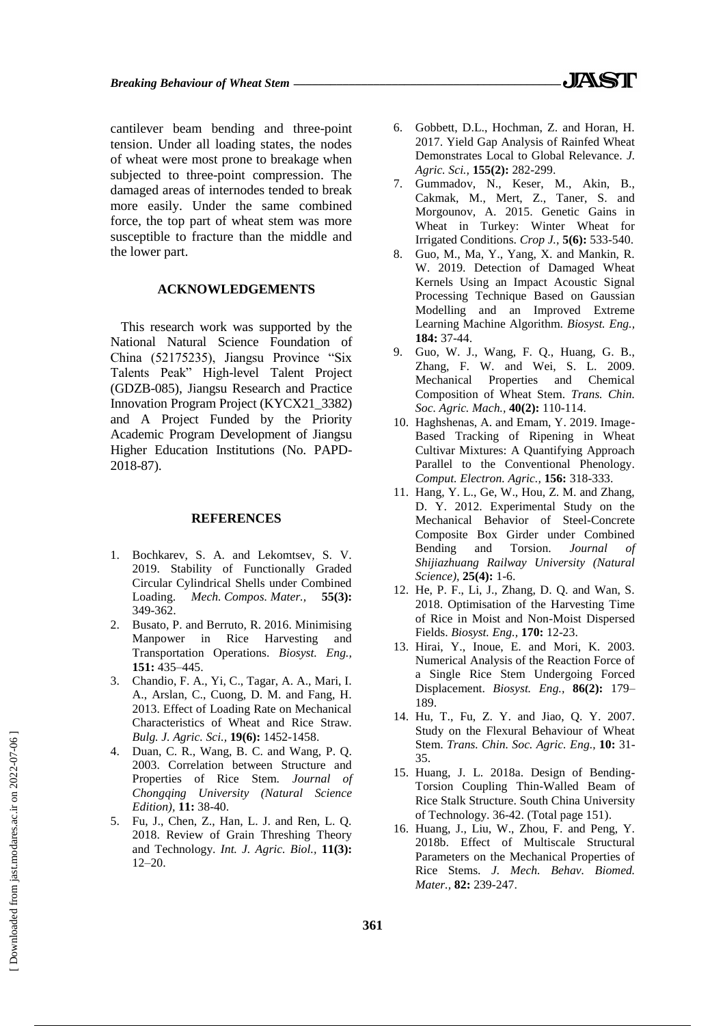cantilever beam bending and three-point tension. Under all loading states, the nodes of wheat were most prone to breakage when subjected to three-point compression. The damaged areas of internodes tended to break more easily. Under the same combined force, the top part of wheat stem was more susceptible to fracture than the middle and the lower part.

### **ACKNOWLEDGEMENTS**

This research work was supported by the National Natural Science Foundation of China (52175235), Jiangsu Province "Six Talents Peak" High-level Talent Project (GDZB-085), Jiangsu Research and Practice Innovation Program Project (KYCX21\_3382) and A Project Funded by the Priority Academic Program Development of Jiangsu Higher Education Institutions (No. PAPD-2018-87).

#### **REFERENCES**

- 1. Bochkarev, S. A. and Lekomtsev, S. V. 2019. Stability of Functionally Graded Circular Cylindrical Shells under Combined Loading. *Mech. Compos. Mater.,* **55(3):** 349-362.
- 2. Busato, P. and Berruto, R. 2016. Minimising Manpower in Rice Harvesting and Transportation Operations. *Biosyst. Eng.,* **151:** 435–445.
- 3. Chandio, F. A., Yi, C., Tagar, A. A., Mari, I. A., Arslan, C., Cuong, D. M. and Fang, H. 2013. Effect of Loading Rate on Mechanical Characteristics of Wheat and Rice Straw. *Bulg. J. Agric. Sci.,* **19(6):** 1452-1458.
- 4. Duan, C. R., Wang, B. C. and Wang, P. Q. 2003. Correlation between Structure and Properties of Rice Stem. *Journal of Chongqing University (Natural Science Edition),* **11:** 38-40.
- 5. Fu, J., Chen, Z., Han, L. J. and Ren, L. Q. 2018. Review of Grain Threshing Theory and Technology. *Int. J. Agric. Biol.,* **11(3):** 12–20.
- 6. Gobbett, D.L., Hochman, Z. and Horan, H. 2017. Yield Gap Analysis of Rainfed Wheat Demonstrates Local to Global Relevance. *J. Agric. Sci.,* **155(2):** 282-299.
- 7. Gummadov, N., Keser, M., Akin, B., Cakmak, M., Mert, Z., Taner, S. and Morgounov, A. 2015. Genetic Gains in Wheat in Turkey: Winter Wheat for Irrigated Conditions. *Crop J.,* **5(6):** 533-540.
- 8. Guo, M., Ma, Y., Yang, X. and Mankin, R. W. 2019. Detection of Damaged Wheat Kernels Using an Impact Acoustic Signal Processing Technique Based on Gaussian Modelling and an Improved Extreme Learning Machine Algorithm. *Biosyst. Eng.,* **184:** 37-44.
- 9. Guo, W. J., Wang, F. Q., Huang, G. B., Zhang, F. W. and Wei, S. L. 2009. Mechanical Properties and Chemical Composition of Wheat Stem. *Trans. Chin. Soc. Agric. Mach.,* **40(2):** 110-114.
- 10. Haghshenas, A. and Emam, Y. 2019. Image-Based Tracking of Ripening in Wheat Cultivar Mixtures: A Quantifying Approach Parallel to the Conventional Phenology. *Comput. Electron. Agric.,* **156:** 318-333.
- 11. Hang, Y. L., Ge, W., Hou, Z. M. and Zhang, D. Y. 2012. Experimental Study on the Mechanical Behavior of Steel-Concrete Composite Box Girder under Combined Bending and Torsion. *Journal of Shijiazhuang Railway University (Natural Science),* **25(4):** 1-6.
- 12. He, P. F., Li, J., Zhang, D. Q. and Wan, S. 2018. Optimisation of the Harvesting Time of Rice in Moist and Non-Moist Dispersed Fields. *Biosyst. Eng.,* **170:** 12-23.
- 13. Hirai, Y., Inoue, E. and Mori, K. 2003. Numerical Analysis of the Reaction Force of a Single Rice Stem Undergoing Forced Displacement. *Biosyst. Eng.,* **86(2):** 179– 189.
- 14. Hu, T., Fu, Z. Y. and Jiao, Q. Y. 2007. Study on the Flexural Behaviour of Wheat Stem. *Trans. Chin. Soc. Agric. Eng.,* **10:** 31- 35.
- 15. Huang, J. L. 2018a. Design of Bending-Torsion Coupling Thin-Walled Beam of Rice Stalk Structure. South China University of Technology. 36-42. (Total page 151).
- 16. Huang, J., Liu, W., Zhou, F. and Peng, Y. 2018b. Effect of Multiscale Structural Parameters on the Mechanical Properties of Rice Stems. *J. Mech. Behav. Biomed. Mater.,* **82:** 239-247.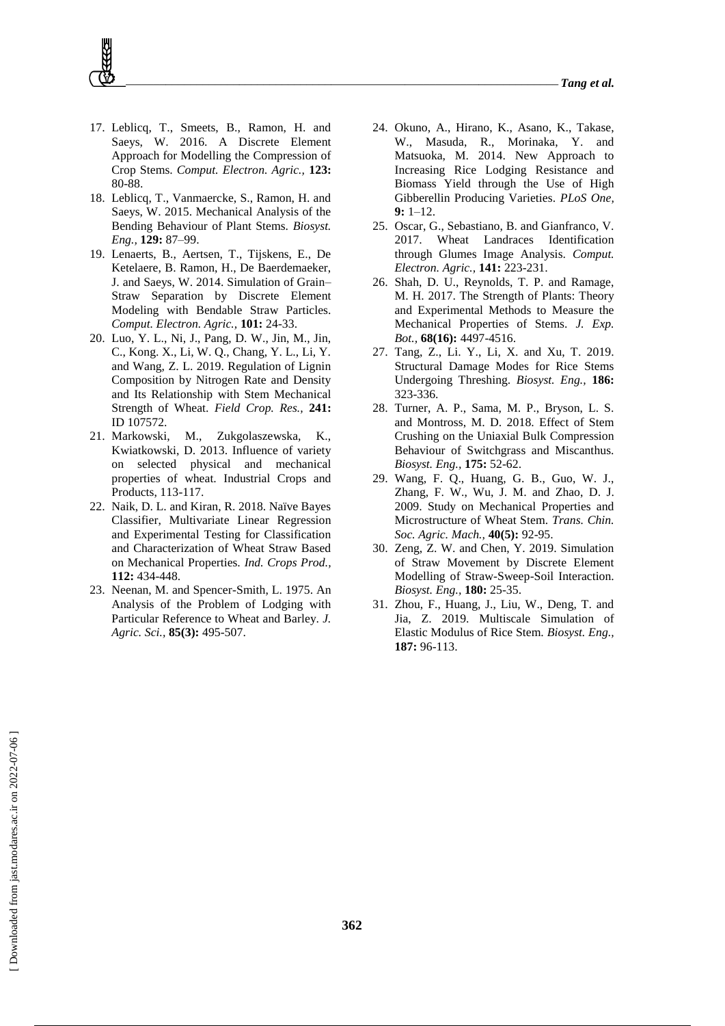- 17. Leblicq, T., Smeets, B., Ramon, H. and Saeys, W. 2016. A Discrete Element Approach for Modelling the Compression of Crop Stems. *Comput. Electron. Agric.,* **123:** 80-88.
- 18. Leblicq, T., Vanmaercke, S., Ramon, H. and Saeys, W. 2015. Mechanical Analysis of the Bending Behaviour of Plant Stems. *Biosyst. Eng.,* **129:** 87–99.
- 19. Lenaerts, B., Aertsen, T., Tijskens, E., De Ketelaere, B. Ramon, H., De Baerdemaeker, J. and Saeys, W. 2014. Simulation of Grain– Straw Separation by Discrete Element Modeling with Bendable Straw Particles. *Comput. Electron. Agric.,* **101:** 24-33.
- 20. Luo, Y. L., Ni, J., Pang, D. W., Jin, M., Jin, C., Kong. X., Li, W. Q., Chang, Y. L., Li, Y. and Wang, Z. L. 2019. Regulation of Lignin Composition by Nitrogen Rate and Density and Its Relationship with Stem Mechanical Strength of Wheat. *Field Crop. Res.,* **241:** ID 107572.
- 21. Markowski, M., Zukgolaszewska, K., Kwiatkowski, D. 2013. Influence of variety on selected physical and mechanical properties of wheat. Industrial Crops and Products, 113-117.
- 22. Naik, D. L. and Kiran, R. 2018. Naïve Bayes Classifier, Multivariate Linear Regression and Experimental Testing for Classification and Characterization of Wheat Straw Based on Mechanical Properties. *Ind. Crops Prod.,* **112:** 434-448.
- 23. Neenan, M. and Spencer-Smith, L. 1975. An Analysis of the Problem of Lodging with Particular Reference to Wheat and Barley. *J. Agric. Sci.,* **85(3):** 495-507.
- 24. Okuno, A., Hirano, K., Asano, K., Takase, W., Masuda, R., Morinaka, Y. and Matsuoka, M. 2014. New Approach to Increasing Rice Lodging Resistance and Biomass Yield through the Use of High Gibberellin Producing Varieties. *PLoS One,*  $9 \cdot 1 - 12$
- 25. Oscar, G., Sebastiano, B. and Gianfranco, V. 2017. Wheat Landraces Identification through Glumes Image Analysis. *Comput. Electron. Agric.,* **141:** 223-231.
- 26. Shah, D. U., Reynolds, T. P. and Ramage, M. H. 2017. The Strength of Plants: Theory and Experimental Methods to Measure the Mechanical Properties of Stems. *J. Exp. Bot.,* **68(16):** 4497-4516.
- 27. Tang, Z., Li. Y., Li, X. and Xu, T. 2019. Structural Damage Modes for Rice Stems Undergoing Threshing. *Biosyst. Eng.,* **186:** 323-336.
- 28. Turner, A. P., Sama, M. P., Bryson, L. S. and Montross, M. D. 2018. Effect of Stem Crushing on the Uniaxial Bulk Compression Behaviour of Switchgrass and Miscanthus. *Biosyst. Eng.,* **175:** 52-62.
- 29. Wang, F. Q., Huang, G. B., Guo, W. J., Zhang, F. W., Wu, J. M. and Zhao, D. J. 2009. Study on Mechanical Properties and Microstructure of Wheat Stem. *Trans. Chin. Soc. Agric. Mach.,* **40(5):** 92-95.
- 30. Zeng, Z. W. and Chen, Y. 2019. Simulation of Straw Movement by Discrete Element Modelling of Straw-Sweep-Soil Interaction. *Biosyst. Eng.,* **180:** 25-35.
- 31. Zhou, F., Huang, J., Liu, W., Deng, T. and Jia, Z. 2019. Multiscale Simulation of Elastic Modulus of Rice Stem. *Biosyst. Eng.,* **187:** 96-113.